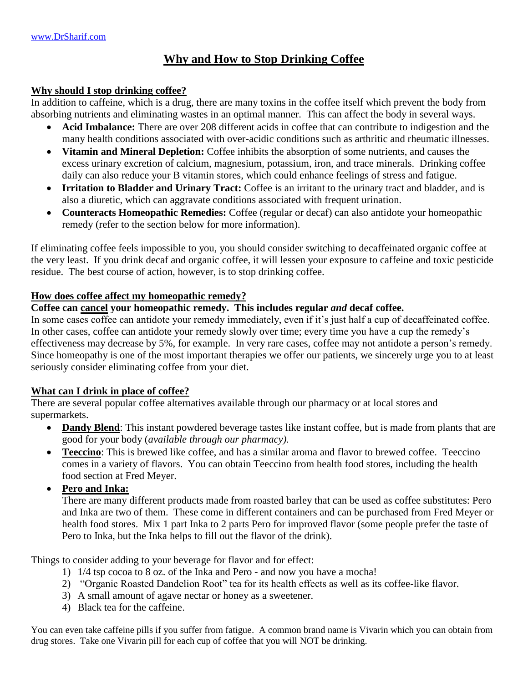# **Why and How to Stop Drinking Coffee**

#### **Why should I stop drinking coffee?**

In addition to caffeine, which is a drug, there are many toxins in the coffee itself which prevent the body from absorbing nutrients and eliminating wastes in an optimal manner. This can affect the body in several ways.

- **Acid Imbalance:** There are over 208 different acids in coffee that can contribute to indigestion and the many health conditions associated with over-acidic conditions such as arthritic and rheumatic illnesses.
- **Vitamin and Mineral Depletion:** Coffee inhibits the absorption of some nutrients, and causes the excess urinary excretion of calcium, magnesium, potassium, iron, and trace minerals. Drinking coffee daily can also reduce your B vitamin stores, which could enhance feelings of stress and fatigue.
- **Irritation to Bladder and Urinary Tract:** Coffee is an irritant to the urinary tract and bladder, and is also a diuretic, which can aggravate conditions associated with frequent urination.
- **Counteracts Homeopathic Remedies:** Coffee (regular or decaf) can also antidote your homeopathic remedy (refer to the section below for more information).

If eliminating coffee feels impossible to you, you should consider switching to decaffeinated organic coffee at the very least. If you drink decaf and organic coffee, it will lessen your exposure to caffeine and toxic pesticide residue. The best course of action, however, is to stop drinking coffee.

### **How does coffee affect my homeopathic remedy?**

### **Coffee can cancel your homeopathic remedy. This includes regular** *and* **decaf coffee.**

In some cases coffee can antidote your remedy immediately, even if it's just half a cup of decaffeinated coffee. In other cases, coffee can antidote your remedy slowly over time; every time you have a cup the remedy's effectiveness may decrease by 5%, for example. In very rare cases, coffee may not antidote a person's remedy. Since homeopathy is one of the most important therapies we offer our patients, we sincerely urge you to at least seriously consider eliminating coffee from your diet.

### **What can I drink in place of coffee?**

There are several popular coffee alternatives available through our pharmacy or at local stores and supermarkets.

- **Dandy Blend**: This instant powdered beverage tastes like instant coffee, but is made from plants that are good for your body (*available through our pharmacy).*
- **Teeccino**: This is brewed like coffee, and has a similar aroma and flavor to brewed coffee. Teeccino comes in a variety of flavors. You can obtain Teeccino from health food stores, including the health food section at Fred Meyer.
- **Pero and Inka:**

There are many different products made from roasted barley that can be used as coffee substitutes: Pero and Inka are two of them. These come in different containers and can be purchased from Fred Meyer or health food stores. Mix 1 part Inka to 2 parts Pero for improved flavor (some people prefer the taste of Pero to Inka, but the Inka helps to fill out the flavor of the drink).

Things to consider adding to your beverage for flavor and for effect:

- 1) 1/4 tsp cocoa to 8 oz. of the Inka and Pero and now you have a mocha!
- 2) "Organic Roasted Dandelion Root" tea for its health effects as well as its coffee-like flavor.
- 3) A small amount of agave nectar or honey as a sweetener.
- 4) Black tea for the caffeine.

You can even take caffeine pills if you suffer from fatigue. A common brand name is Vivarin which you can obtain from drug stores. Take one Vivarin pill for each cup of coffee that you will NOT be drinking.